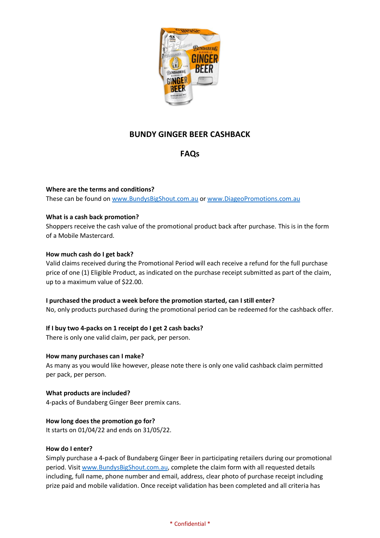

# **BUNDY GINGER BEER CASHBACK**

# **FAQs**

# **Where are the terms and conditions?**

These can be found on [www.BundysBigShout.com.au](http://www.bundysbigshout.com.au/) or [www.DiageoPromotions.com.au](http://www.diageopromotions.com.au/)

# **What is a cash back promotion?**

Shoppers receive the cash value of the promotional product back after purchase. This is in the form of a Mobile Mastercard.

# **How much cash do I get back?**

Valid claims received during the Promotional Period will each receive a refund for the full purchase price of one (1) Eligible Product, as indicated on the purchase receipt submitted as part of the claim, up to a maximum value of \$22.00.

# **I purchased the product a week before the promotion started, can I still enter?**

No, only products purchased during the promotional period can be redeemed for the cashback offer.

# **If I buy two 4-packs on 1 receipt do I get 2 cash backs?**

There is only one valid claim, per pack, per person.

# **How many purchases can I make?**

As many as you would like however, please note there is only one valid cashback claim permitted per pack, per person.

# **What products are included?**

4-packs of Bundaberg Ginger Beer premix cans.

# **How long does the promotion go for?**

It starts on 01/04/22 and ends on 31/05/22.

# **How do I enter?**

Simply purchase a 4-pack of Bundaberg Ginger Beer in participating retailers during our promotional period. Visi[t www.BundysBigShout.com.au,](http://www.bundysbigshout.com.au/) complete the claim form with all requested details including, full name, phone number and email, address, clear photo of purchase receipt including prize paid and mobile validation. Once receipt validation has been completed and all criteria has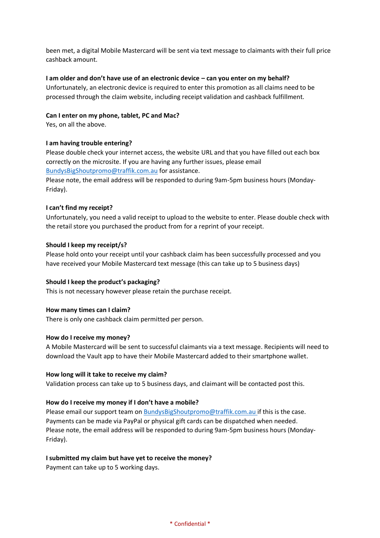been met, a digital Mobile Mastercard will be sent via text message to claimants with their full price cashback amount.

#### **I am older and don't have use of an electronic device – can you enter on my behalf?**

Unfortunately, an electronic device is required to enter this promotion as all claims need to be processed through the claim website, including receipt validation and cashback fulfillment.

#### **Can I enter on my phone, tablet, PC and Mac?**

Yes, on all the above.

### **I am having trouble entering?**

Please double check your internet access, the website URL and that you have filled out each box correctly on the microsite. If you are having any further issues, please email [BundysBigShoutpromo@traffik.com.au](mailto:BundysBigShoutpromo@traffik.com.au) for assistance.

Please note, the email address will be responded to during 9am-5pm business hours (Monday-Friday).

### **I can't find my receipt?**

Unfortunately, you need a valid receipt to upload to the website to enter. Please double check with the retail store you purchased the product from for a reprint of your receipt.

### **Should I keep my receipt/s?**

Please hold onto your receipt until your cashback claim has been successfully processed and you have received your Mobile Mastercard text message (this can take up to 5 business days)

#### **Should I keep the product's packaging?**

This is not necessary however please retain the purchase receipt.

#### **How many times can I claim?**

There is only one cashback claim permitted per person.

#### **How do I receive my money?**

A Mobile Mastercard will be sent to successful claimants via a text message. Recipients will need to download the Vault app to have their Mobile Mastercard added to their smartphone wallet.

#### **How long will it take to receive my claim?**

Validation process can take up to 5 business days, and claimant will be contacted post this.

# **How do I receive my money if I don't have a mobile?**

Please email our support team on [BundysBigShoutpromo@traffik.com.au](mailto:BundysBigShoutpromo@traffik.com.au) if this is the case. Payments can be made via PayPal or physical gift cards can be dispatched when needed. Please note, the email address will be responded to during 9am-5pm business hours (Monday-Friday).

#### **I submitted my claim but have yet to receive the money?**

Payment can take up to 5 working days.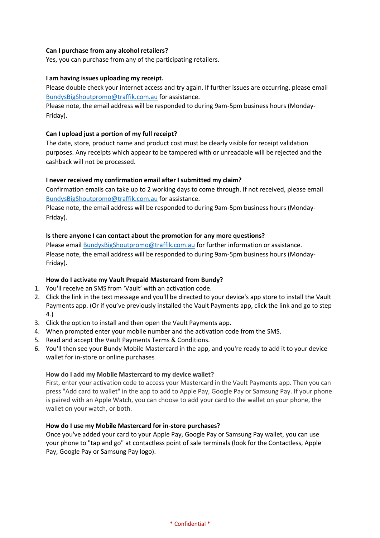# **Can I purchase from any alcohol retailers?**

Yes, you can purchase from any of the participating retailers.

# **I am having issues uploading my receipt.**

Please double check your internet access and try again. If further issues are occurring, please email [BundysBigShoutpromo@traffik.com.au](mailto:BundysBigShoutpromo@traffik.com.au) for assistance.

Please note, the email address will be responded to during 9am-5pm business hours (Monday-Friday).

# **Can I upload just a portion of my full receipt?**

The date, store, product name and product cost must be clearly visible for receipt validation purposes. Any receipts which appear to be tampered with or unreadable will be rejected and the cashback will not be processed.

# **I never received my confirmation email after I submitted my claim?**

Confirmation emails can take up to 2 working days to come through. If not received, please email [BundysBigShoutpromo@traffik.com.au](mailto:BundysBigShoutpromo@traffik.com.au) for assistance.

Please note, the email address will be responded to during 9am-5pm business hours (Monday-Friday).

# **Is there anyone I can contact about the promotion for any more questions?**

Please email [BundysBigShoutpromo@traffik.com.au](mailto:BundysBigShoutpromo@traffik.com.au) for further information or assistance. Please note, the email address will be responded to during 9am-5pm business hours (Monday-Friday).

# **How do I activate my Vault Prepaid Mastercard from Bundy?**

- 1. You'll receive an SMS from 'Vault' with an activation code.
- 2. Click the link in the text message and you'll be directed to your device's app store to install the Vault Payments app. (Or if you've previously installed the Vault Payments app, click the link and go to step 4.)
- 3. Click the option to install and then open the Vault Payments app.
- 4. When prompted enter your mobile number and the activation code from the SMS.
- 5. Read and accept the Vault Payments Terms & Conditions.
- 6. You'll then see your Bundy Mobile Mastercard in the app, and you're ready to add it to your device wallet for in-store or online purchases

# **How do I add my Mobile Mastercard to my device wallet?**

First, enter your activation code to access your Mastercard in the Vault Payments app. Then you can press "Add card to wallet" in the app to add to Apple Pay, Google Pay or Samsung Pay. If your phone is paired with an Apple Watch, you can choose to add your card to the wallet on your phone, the wallet on your watch, or both.

# **How do I use my Mobile Mastercard for in-store purchases?**

Once you've added your card to your Apple Pay, Google Pay or Samsung Pay wallet, you can use your phone to "tap and go" at contactless point of sale terminals (look for the Contactless, Apple Pay, Google Pay or Samsung Pay logo).